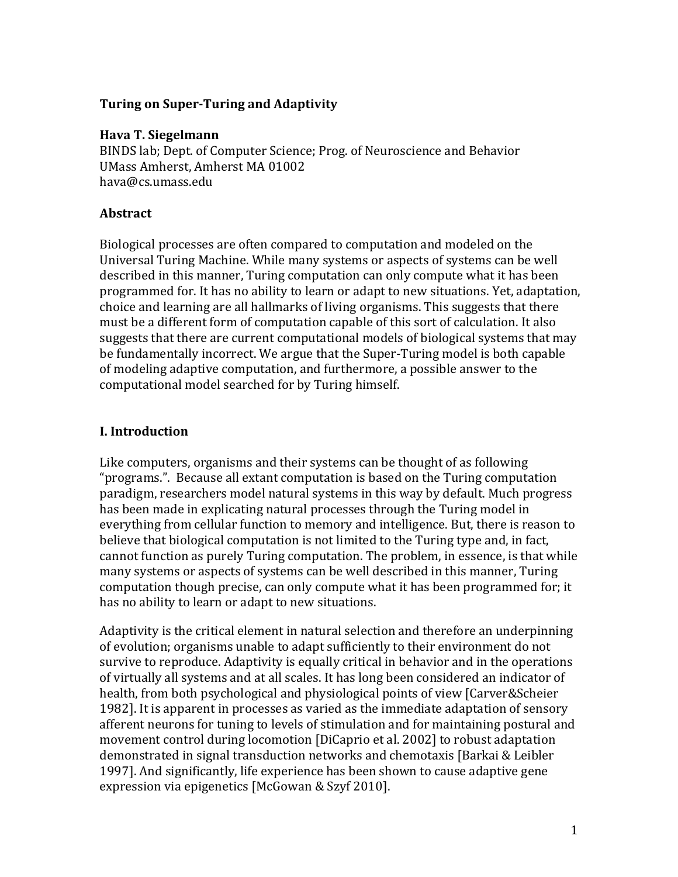## **Turing on Super-Turing and Adaptivity**

#### **Hava T. Siegelmann**

BINDS lab; Dept. of Computer Science; Prog. of Neuroscience and Behavior UMass Amherst, Amherst MA 01002 hava@cs.umass.edu

## **Abstract**

Biological processes are often compared to computation and modeled on the Universal Turing Machine. While many systems or aspects of systems can be well described in this manner, Turing computation can only compute what it has been programmed for. It has no ability to learn or adapt to new situations. Yet, adaptation, choice and learning are all hallmarks of living organisms. This suggests that there must be a different form of computation capable of this sort of calculation. It also suggests that there are current computational models of biological systems that may be fundamentally incorrect. We argue that the Super-Turing model is both capable of modeling adaptive computation, and furthermore, a possible answer to the computational model searched for by Turing himself.

## **I. Introduction**

Like computers, organisms and their systems can be thought of as following "programs.". Because all extant computation is based on the Turing computation paradigm, researchers model natural systems in this way by default. Much progress has been made in explicating natural processes through the Turing model in everything from cellular function to memory and intelligence. But, there is reason to believe that biological computation is not limited to the Turing type and, in fact, cannot function as purely Turing computation. The problem, in essence, is that while many systems or aspects of systems can be well described in this manner, Turing computation though precise, can only compute what it has been programmed for; it has no ability to learn or adapt to new situations.

Adaptivity is the critical element in natural selection and therefore an underpinning of evolution; organisms unable to adapt sufficiently to their environment do not survive to reproduce. Adaptivity is equally critical in behavior and in the operations of virtually all systems and at all scales. It has long been considered an indicator of health, from both psychological and physiological points of view [Carver&Scheier 1982]. It is apparent in processes as varied as the immediate adaptation of sensory afferent neurons for tuning to levels of stimulation and for maintaining postural and movement control during locomotion [DiCaprio et al. 2002] to robust adaptation demonstrated in signal transduction networks and chemotaxis [Barkai & Leibler 1997]. And significantly, life experience has been shown to cause adaptive gene expression via epigenetics [McGowan & Szyf 2010].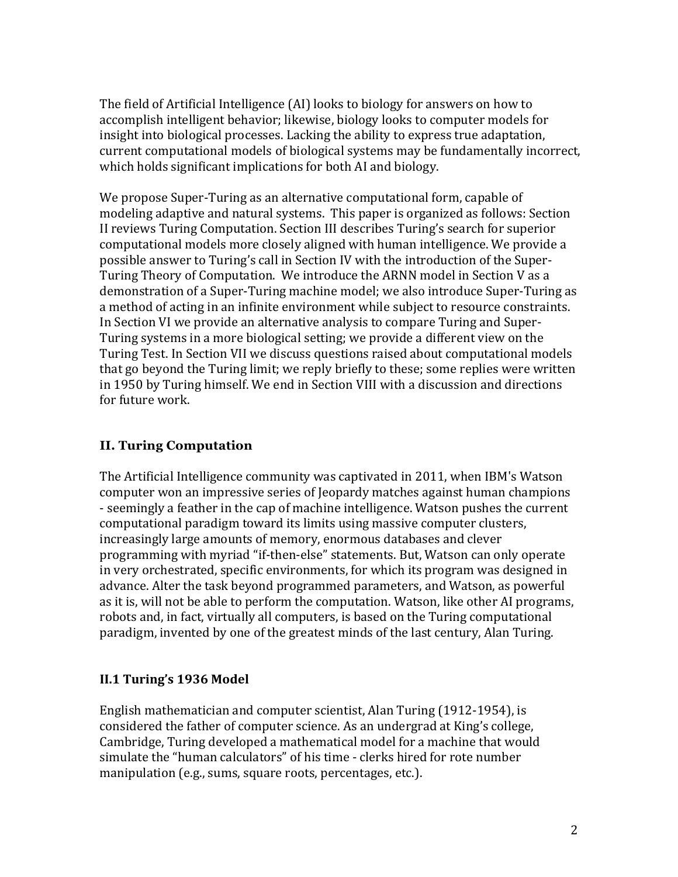The field of Artificial Intelligence (AI) looks to biology for answers on how to accomplish intelligent behavior; likewise, biology looks to computer models for insight into biological processes. Lacking the ability to express true adaptation, current computational models of biological systems may be fundamentally incorrect, which holds significant implications for both AI and biology.

We propose Super-Turing as an alternative computational form, capable of modeling adaptive and natural systems. This paper is organized as follows: Section II reviews Turing Computation. Section III describes Turing's search for superior computational models more closely aligned with human intelligence. We provide a possible answer to Turing's call in Section IV with the introduction of the Super-Turing Theory of Computation. We introduce the ARNN model in Section V as a demonstration of a Super-Turing machine model; we also introduce Super-Turing as a method of acting in an infinite environment while subject to resource constraints. In Section VI we provide an alternative analysis to compare Turing and Super-Turing systems in a more biological setting; we provide a different view on the Turing Test. In Section VII we discuss questions raised about computational models that go beyond the Turing limit; we reply briefly to these; some replies were written in 1950 by Turing himself. We end in Section VIII with a discussion and directions for future work.

# **II. Turing Computation**

The Artificial Intelligence community was captivated in 2011, when IBM's Watson computer won an impressive series of Jeopardy matches against human champions - seemingly a feather in the cap of machine intelligence. Watson pushes the current computational paradigm toward its limits using massive computer clusters, increasingly large amounts of memory, enormous databases and clever programming with myriad "if-then-else" statements. But, Watson can only operate in very orchestrated, specific environments, for which its program was designed in advance. Alter the task beyond programmed parameters, and Watson, as powerful as it is, will not be able to perform the computation. Watson, like other AI programs, robots and, in fact, virtually all computers, is based on the Turing computational paradigm, invented by one of the greatest minds of the last century, Alan Turing.

# **II.1 Turing's 1936 Model**

English mathematician and computer scientist, Alan Turing (1912-1954), is considered the father of computer science. As an undergrad at King's college, Cambridge, Turing developed a mathematical model for a machine that would simulate the "human calculators" of his time - clerks hired for rote number manipulation (e.g., sums, square roots, percentages, etc.).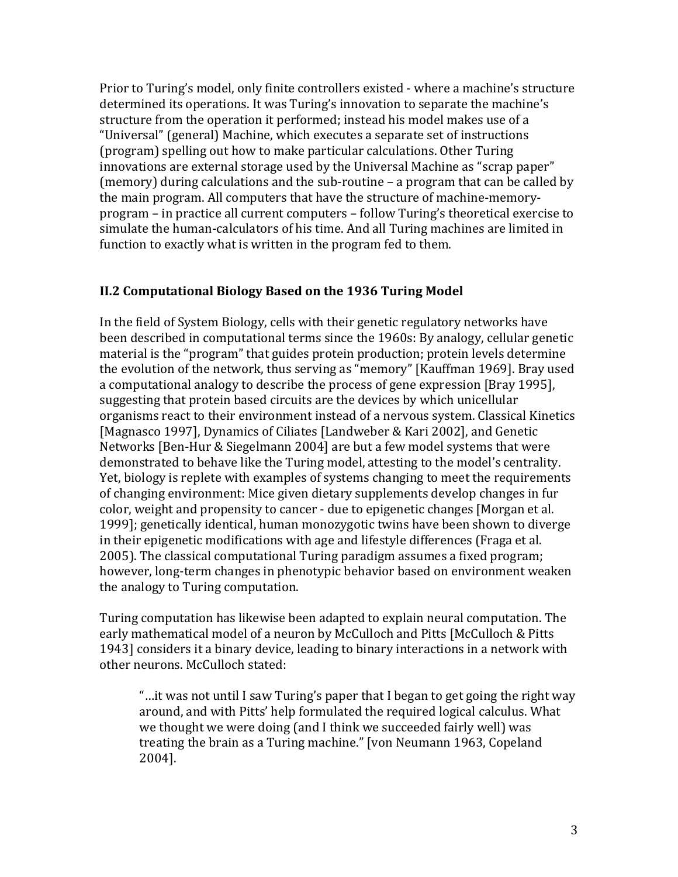Prior to Turing's model, only finite controllers existed - where a machine's structure determined its operations. It was Turing's innovation to separate the machine's structure from the operation it performed; instead his model makes use of a "Universal" (general) Machine, which executes a separate set of instructions (program) spelling out how to make particular calculations. Other Turing innovations are external storage used by the Universal Machine as "scrap paper" (memory) during calculations and the sub-routine  $-$  a program that can be called by the main program. All computers that have the structure of machine-memoryprogram – in practice all current computers – follow Turing's theoretical exercise to simulate the human-calculators of his time. And all Turing machines are limited in function to exactly what is written in the program fed to them.

#### **II.2 Computational Biology Based on the 1936 Turing Model**

In the field of System Biology, cells with their genetic regulatory networks have been described in computational terms since the 1960s: By analogy, cellular genetic material is the "program" that guides protein production; protein levels determine the evolution of the network, thus serving as "memory" [Kauffman 1969]. Bray used a computational analogy to describe the process of gene expression [Bray 1995], suggesting that protein based circuits are the devices by which unicellular organisms react to their environment instead of a nervous system. Classical Kinetics [Magnasco 1997], Dynamics of Ciliates [Landweber & Kari 2002], and Genetic Networks [Ben-Hur & Siegelmann 2004] are but a few model systems that were demonstrated to behave like the Turing model, attesting to the model's centrality. Yet, biology is replete with examples of systems changing to meet the requirements of changing environment: Mice given dietary supplements develop changes in fur color, weight and propensity to cancer - due to epigenetic changes [Morgan et al. 1999]; genetically identical, human monozygotic twins have been shown to diverge in their epigenetic modifications with age and lifestyle differences (Fraga et al. 2005). The classical computational Turing paradigm assumes a fixed program; however, long-term changes in phenotypic behavior based on environment weaken the analogy to Turing computation.

Turing computation has likewise been adapted to explain neural computation. The early mathematical model of a neuron by McCulloch and Pitts [McCulloch & Pitts 1943] considers it a binary device, leading to binary interactions in a network with other neurons. McCulloch stated:

"...it was not until I saw Turing's paper that I began to get going the right way around, and with Pitts' help formulated the required logical calculus. What we thought we were doing (and I think we succeeded fairly well) was treating the brain as a Turing machine." [von Neumann 1963, Copeland 2004].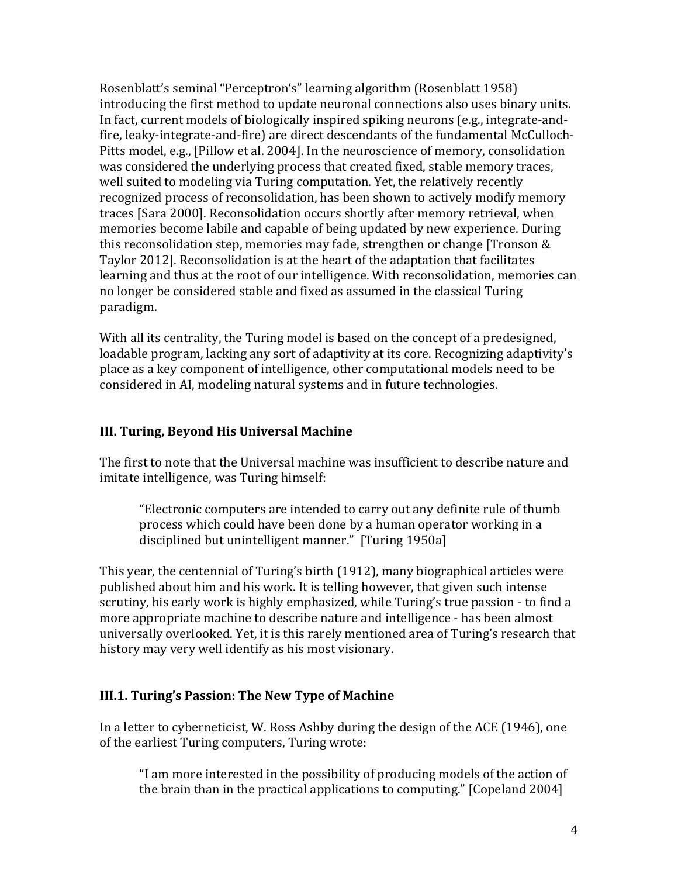Rosenblatt's seminal "Perceptron's" learning algorithm (Rosenblatt 1958) introducing the first method to update neuronal connections also uses binary units. In fact, current models of biologically inspired spiking neurons (e.g., integrate-andfire, leaky-integrate-and-fire) are direct descendants of the fundamental McCulloch-Pitts model, e.g., [Pillow et al. 2004]. In the neuroscience of memory, consolidation was considered the underlying process that created fixed, stable memory traces, well suited to modeling via Turing computation. Yet, the relatively recently recognized process of reconsolidation, has been shown to actively modify memory traces [Sara 2000]. Reconsolidation occurs shortly after memory retrieval, when memories become labile and capable of being updated by new experience. During this reconsolidation step, memories may fade, strengthen or change [Tronson  $&$ Taylor 2012]. Reconsolidation is at the heart of the adaptation that facilitates learning and thus at the root of our intelligence. With reconsolidation, memories can no longer be considered stable and fixed as assumed in the classical Turing paradigm.

With all its centrality, the Turing model is based on the concept of a predesigned, loadable program, lacking any sort of adaptivity at its core. Recognizing adaptivity's place as a key component of intelligence, other computational models need to be considered in AI, modeling natural systems and in future technologies.

#### **III. Turing, Beyond His Universal Machine**

The first to note that the Universal machine was insufficient to describe nature and imitate intelligence, was Turing himself:

"Electronic computers are intended to carry out any definite rule of thumb process which could have been done by a human operator working in a disciplined but unintelligent manner." [Turing 1950a]

This year, the centennial of Turing's birth (1912), many biographical articles were published about him and his work. It is telling however, that given such intense scrutiny, his early work is highly emphasized, while Turing's true passion - to find a more appropriate machine to describe nature and intelligence - has been almost universally overlooked. Yet, it is this rarely mentioned area of Turing's research that history may very well identify as his most visionary.

#### **III.1. Turing's Passion: The New Type of Machine**

In a letter to cyberneticist, W. Ross Ashby during the design of the ACE (1946), one of the earliest Turing computers, Turing wrote:

"I am more interested in the possibility of producing models of the action of the brain than in the practical applications to computing."  $[Copeland 2004]$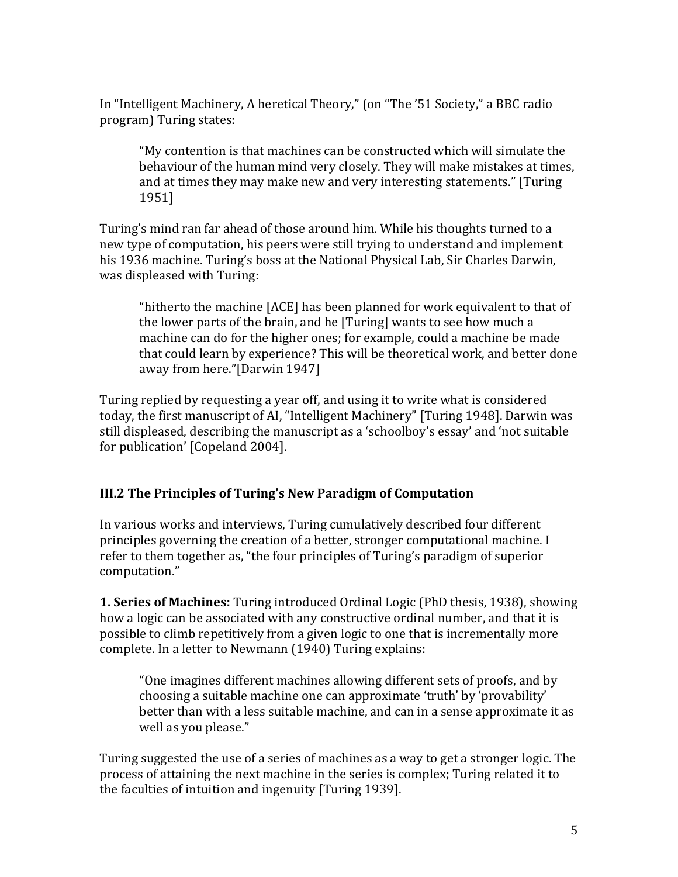In "Intelligent Machinery, A heretical Theory," (on "The '51 Society," a BBC radio program) Turing states:

"My contention is that machines can be constructed which will simulate the behaviour of the human mind very closely. They will make mistakes at times, and at times they may make new and very interesting statements." [Turing] 1951]

Turing's mind ran far ahead of those around him. While his thoughts turned to a new type of computation, his peers were still trying to understand and implement his 1936 machine. Turing's boss at the National Physical Lab, Sir Charles Darwin, was displeased with Turing:

"hitherto the machine  $[ACE]$  has been planned for work equivalent to that of the lower parts of the brain, and he [Turing] wants to see how much a machine can do for the higher ones; for example, could a machine be made that could learn by experience? This will be theoretical work, and better done away from here."[Darwin 1947]

Turing replied by requesting a year off, and using it to write what is considered today, the first manuscript of AI, "Intelligent Machinery" [Turing 1948]. Darwin was still displeased, describing the manuscript as a 'schoolboy's essay' and 'not suitable for publication' [Copeland 2004].

## **III.2 The Principles of Turing's New Paradigm of Computation**

In various works and interviews, Turing cumulatively described four different principles governing the creation of a better, stronger computational machine. I refer to them together as, "the four principles of Turing's paradigm of superior computation."

**1. Series of Machines:** Turing introduced Ordinal Logic (PhD thesis, 1938), showing how a logic can be associated with any constructive ordinal number, and that it is possible to climb repetitively from a given logic to one that is incrementally more complete. In a letter to Newmann (1940) Turing explains:

"One imagines different machines allowing different sets of proofs, and by choosing a suitable machine one can approximate 'truth' by 'provability' better than with a less suitable machine, and can in a sense approximate it as well as you please."

Turing suggested the use of a series of machines as a way to get a stronger logic. The process of attaining the next machine in the series is complex; Turing related it to the faculties of intuition and ingenuity [Turing 1939].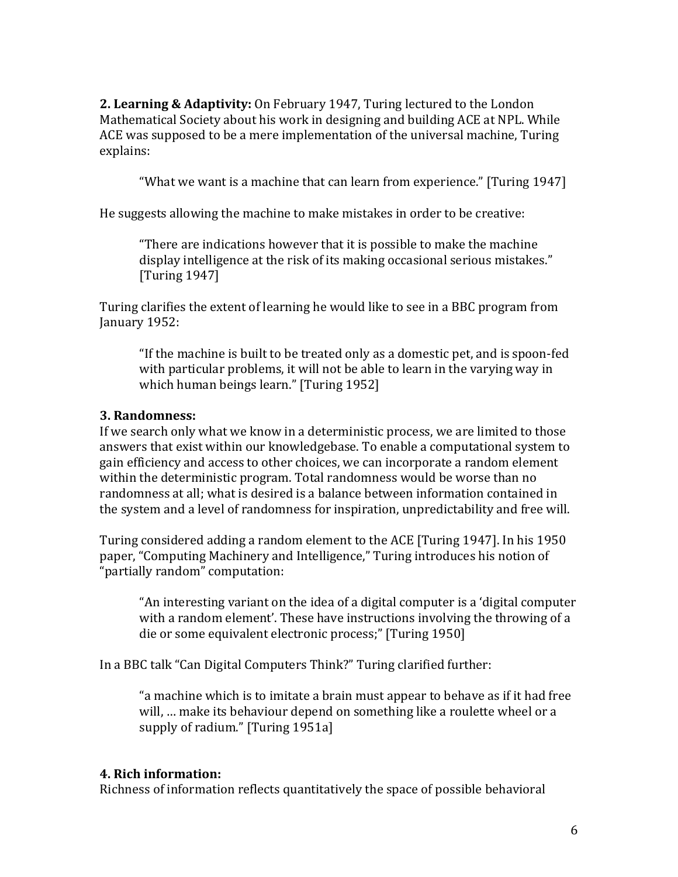**2. Learning & Adaptivity:** On February 1947, Turing lectured to the London Mathematical Society about his work in designing and building ACE at NPL. While ACE was supposed to be a mere implementation of the universal machine, Turing explains: 

"What we want is a machine that can learn from experience." [Turing 1947]

He suggests allowing the machine to make mistakes in order to be creative:

"There are indications however that it is possible to make the machine display intelligence at the risk of its making occasional serious mistakes."  $Turing 1947$ 

Turing clarifies the extent of learning he would like to see in a BBC program from January 1952:

"If the machine is built to be treated only as a domestic pet, and is spoon-fed with particular problems, it will not be able to learn in the varying way in which human beings learn." [Turing 1952]

#### **3. Randomness:**

If we search only what we know in a deterministic process, we are limited to those answers that exist within our knowledgebase. To enable a computational system to gain efficiency and access to other choices, we can incorporate a random element within the deterministic program. Total randomness would be worse than no randomness at all; what is desired is a balance between information contained in the system and a level of randomness for inspiration, unpredictability and free will.

Turing considered adding a random element to the ACE [Turing 1947]. In his 1950 paper, "Computing Machinery and Intelligence," Turing introduces his notion of "partially random" computation:

"An interesting variant on the idea of a digital computer is a 'digital computer with a random element'. These have instructions involving the throwing of a die or some equivalent electronic process;" [Turing 1950]

In a BBC talk "Can Digital Computers Think?" Turing clarified further:

"a machine which is to imitate a brain must appear to behave as if it had free will, ... make its behaviour depend on something like a roulette wheel or a supply of radium." [Turing 1951a]

#### **4. Rich information:**

Richness of information reflects quantitatively the space of possible behavioral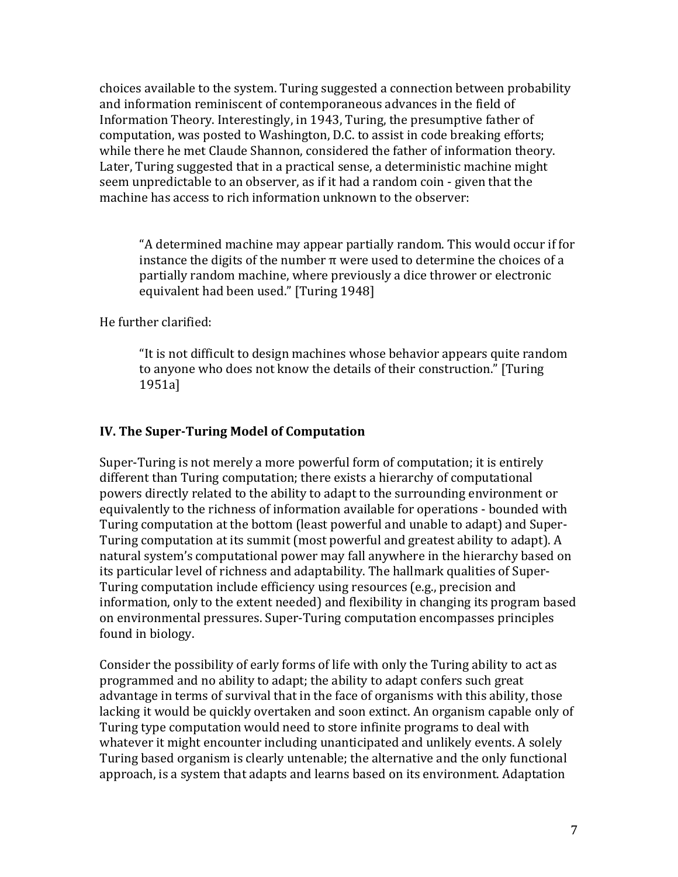choices available to the system. Turing suggested a connection between probability and information reminiscent of contemporaneous advances in the field of Information Theory. Interestingly, in 1943, Turing, the presumptive father of computation, was posted to Washington, D.C. to assist in code breaking efforts; while there he met Claude Shannon, considered the father of information theory. Later, Turing suggested that in a practical sense, a deterministic machine might seem unpredictable to an observer, as if it had a random coin - given that the machine has access to rich information unknown to the observer:

"A determined machine may appear partially random. This would occur if for instance the digits of the number  $\pi$  were used to determine the choices of a partially random machine, where previously a dice thrower or electronic equivalent had been used." [Turing 1948]

He further clarified:

"It is not difficult to design machines whose behavior appears quite random to anyone who does not know the details of their construction." [Turing] 1951a]

#### **IV. The Super-Turing Model of Computation**

Super-Turing is not merely a more powerful form of computation; it is entirely different than Turing computation; there exists a hierarchy of computational powers directly related to the ability to adapt to the surrounding environment or equivalently to the richness of information available for operations - bounded with Turing computation at the bottom (least powerful and unable to adapt) and Super-Turing computation at its summit (most powerful and greatest ability to adapt). A natural system's computational power may fall anywhere in the hierarchy based on its particular level of richness and adaptability. The hallmark qualities of Super-Turing computation include efficiency using resources (e.g., precision and information, only to the extent needed) and flexibility in changing its program based on environmental pressures. Super-Turing computation encompasses principles found in biology.

Consider the possibility of early forms of life with only the Turing ability to act as programmed and no ability to adapt; the ability to adapt confers such great advantage in terms of survival that in the face of organisms with this ability, those lacking it would be quickly overtaken and soon extinct. An organism capable only of Turing type computation would need to store infinite programs to deal with whatever it might encounter including unanticipated and unlikely events. A solely Turing based organism is clearly untenable; the alternative and the only functional approach, is a system that adapts and learns based on its environment. Adaptation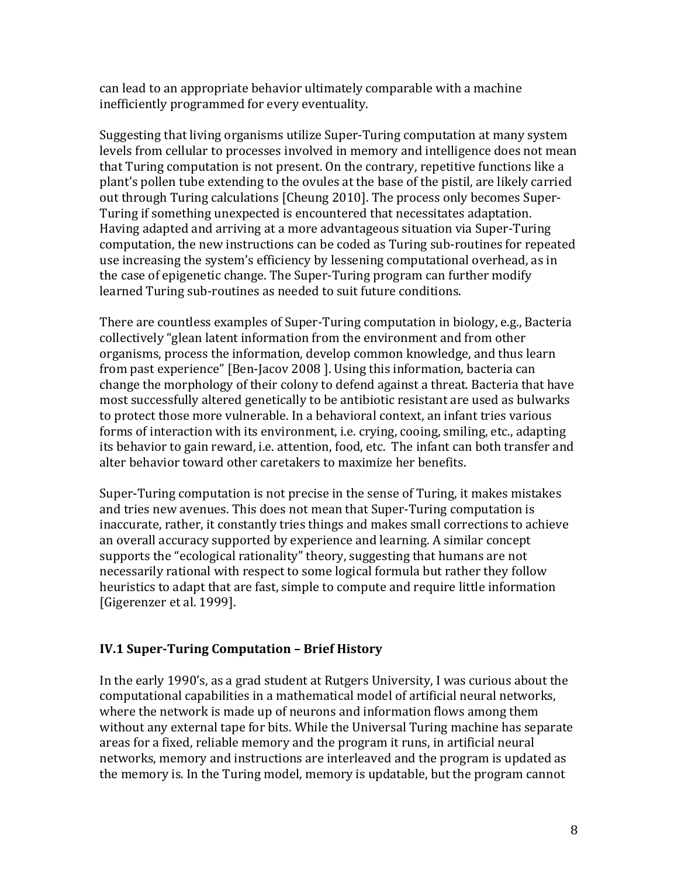can lead to an appropriate behavior ultimately comparable with a machine inefficiently programmed for every eventuality.

Suggesting that living organisms utilize Super-Turing computation at many system levels from cellular to processes involved in memory and intelligence does not mean that Turing computation is not present. On the contrary, repetitive functions like a plant's pollen tube extending to the ovules at the base of the pistil, are likely carried out through Turing calculations [Cheung 2010]. The process only becomes Super-Turing if something unexpected is encountered that necessitates adaptation. Having adapted and arriving at a more advantageous situation via Super-Turing computation, the new instructions can be coded as Turing sub-routines for repeated use increasing the system's efficiency by lessening computational overhead, as in the case of epigenetic change. The Super-Turing program can further modify learned Turing sub-routines as needed to suit future conditions.

There are countless examples of Super-Turing computation in biology, e.g., Bacteria collectively "glean latent information from the environment and from other organisms, process the information, develop common knowledge, and thus learn from past experience" [Ben-Jacov 2008 ]. Using this information, bacteria can change the morphology of their colony to defend against a threat. Bacteria that have most successfully altered genetically to be antibiotic resistant are used as bulwarks to protect those more vulnerable. In a behavioral context, an infant tries various forms of interaction with its environment, i.e. crying, cooing, smiling, etc., adapting its behavior to gain reward, i.e. attention, food, etc. The infant can both transfer and alter behavior toward other caretakers to maximize her benefits.

Super-Turing computation is not precise in the sense of Turing, it makes mistakes and tries new avenues. This does not mean that Super-Turing computation is inaccurate, rather, it constantly tries things and makes small corrections to achieve an overall accuracy supported by experience and learning. A similar concept supports the "ecological rationality" theory, suggesting that humans are not necessarily rational with respect to some logical formula but rather they follow heuristics to adapt that are fast, simple to compute and require little information [Gigerenzer et al. 1999].

## **IV.1 Super-Turing Computation – Brief History**

In the early 1990's, as a grad student at Rutgers University, I was curious about the computational capabilities in a mathematical model of artificial neural networks, where the network is made up of neurons and information flows among them without any external tape for bits. While the Universal Turing machine has separate areas for a fixed, reliable memory and the program it runs, in artificial neural networks, memory and instructions are interleaved and the program is updated as the memory is. In the Turing model, memory is updatable, but the program cannot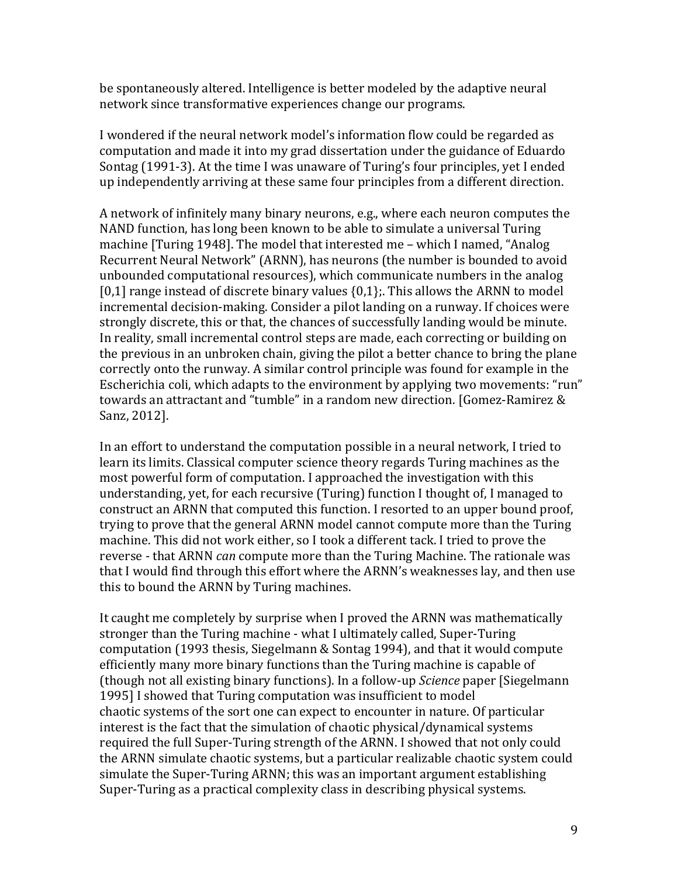be spontaneously altered. Intelligence is better modeled by the adaptive neural network since transformative experiences change our programs.

I wondered if the neural network model's information flow could be regarded as computation and made it into my grad dissertation under the guidance of Eduardo Sontag (1991-3). At the time I was unaware of Turing's four principles, yet I ended up independently arriving at these same four principles from a different direction.

A network of infinitely many binary neurons, e.g., where each neuron computes the NAND function, has long been known to be able to simulate a universal Turing machine [Turing 1948]. The model that interested me – which I named, "Analog Recurrent Neural Network" (ARNN), has neurons (the number is bounded to avoid unbounded computational resources), which communicate numbers in the analog  $[0,1]$  range instead of discrete binary values  $\{0,1\}$ . This allows the ARNN to model incremental decision-making. Consider a pilot landing on a runway. If choices were strongly discrete, this or that, the chances of successfully landing would be minute. In reality, small incremental control steps are made, each correcting or building on the previous in an unbroken chain, giving the pilot a better chance to bring the plane correctly onto the runway. A similar control principle was found for example in the Escherichia coli, which adapts to the environment by applying two movements: "run" towards an attractant and "tumble" in a random new direction. [Gomez-Ramirez & Sanz, 2012].

In an effort to understand the computation possible in a neural network, I tried to learn its limits. Classical computer science theory regards Turing machines as the most powerful form of computation. I approached the investigation with this understanding, yet, for each recursive (Turing) function I thought of, I managed to construct an ARNN that computed this function. I resorted to an upper bound proof, trying to prove that the general ARNN model cannot compute more than the Turing machine. This did not work either, so I took a different tack. I tried to prove the reverse - that ARNN *can* compute more than the Turing Machine. The rationale was that I would find through this effort where the ARNN's weaknesses lay, and then use this to bound the ARNN by Turing machines.

It caught me completely by surprise when I proved the ARNN was mathematically stronger than the Turing machine - what I ultimately called, Super-Turing computation (1993 thesis, Siegelmann & Sontag 1994), and that it would compute efficiently many more binary functions than the Turing machine is capable of (though not all existing binary functions). In a follow-up *Science* paper [Siegelmann] 1995] I showed that Turing computation was insufficient to model chaotic systems of the sort one can expect to encounter in nature. Of particular interest is the fact that the simulation of chaotic physical/dynamical systems required the full Super-Turing strength of the ARNN. I showed that not only could the ARNN simulate chaotic systems, but a particular realizable chaotic system could simulate the Super-Turing ARNN; this was an important argument establishing Super-Turing as a practical complexity class in describing physical systems.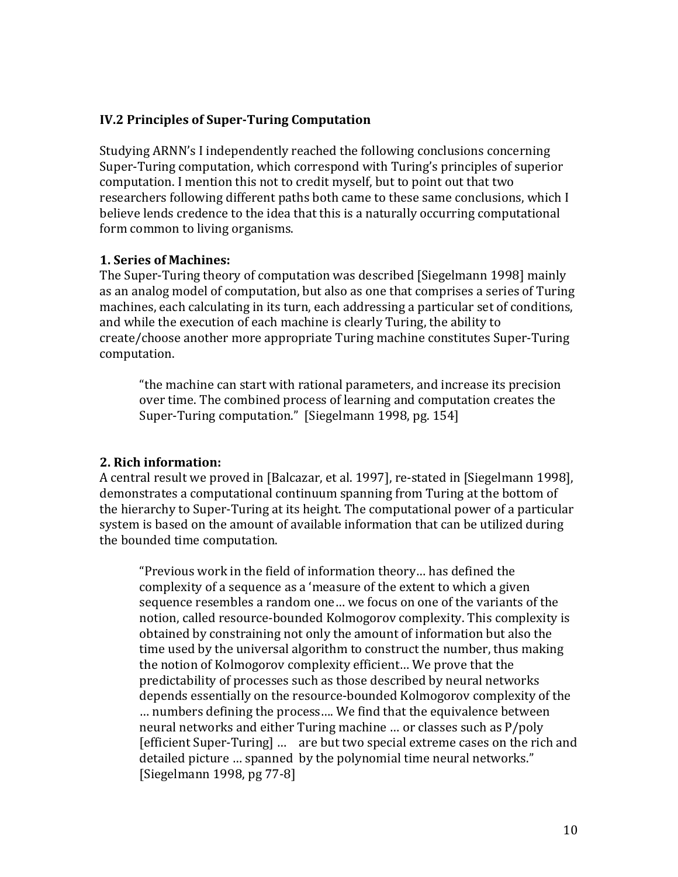#### **IV.2 Principles of Super-Turing Computation**

Studying ARNN's I independently reached the following conclusions concerning Super-Turing computation, which correspond with Turing's principles of superior computation. I mention this not to credit myself, but to point out that two researchers following different paths both came to these same conclusions, which I believe lends credence to the idea that this is a naturally occurring computational form common to living organisms.

#### **1. Series of Machines:**

The Super-Turing theory of computation was described [Siegelmann 1998] mainly as an analog model of computation, but also as one that comprises a series of Turing machines, each calculating in its turn, each addressing a particular set of conditions, and while the execution of each machine is clearly Turing, the ability to create/choose another more appropriate Turing machine constitutes Super-Turing computation.

"the machine can start with rational parameters, and increase its precision over time. The combined process of learning and computation creates the Super-Turing computation." [Siegelmann 1998, pg. 154]

#### **2. Rich information:**

A central result we proved in [Balcazar, et al. 1997], re-stated in [Siegelmann 1998], demonstrates a computational continuum spanning from Turing at the bottom of the hierarchy to Super-Turing at its height. The computational power of a particular system is based on the amount of available information that can be utilized during the bounded time computation.

"Previous work in the field of information theory... has defined the complexity of a sequence as a 'measure of the extent to which a given sequence resembles a random one... we focus on one of the variants of the notion, called resource-bounded Kolmogorov complexity. This complexity is obtained by constraining not only the amount of information but also the time used by the universal algorithm to construct the number, thus making the notion of Kolmogorov complexity efficient... We prove that the predictability of processes such as those described by neural networks depends essentially on the resource-bounded Kolmogorov complexity of the ... numbers defining the process.... We find that the equivalence between neural networks and either Turing machine ... or classes such as P/poly [efficient Super-Turing] ... are but two special extreme cases on the rich and detailed picture ... spanned by the polynomial time neural networks."  $[Siegelmann 1998, pg 77-8]$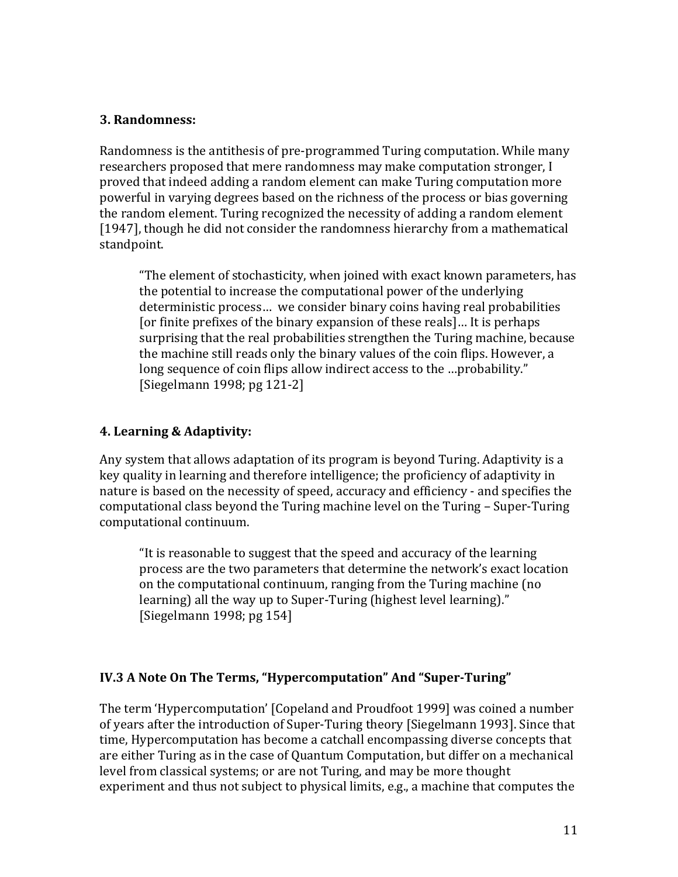#### **3. Randomness:**

Randomness is the antithesis of pre-programmed Turing computation. While many researchers proposed that mere randomness may make computation stronger, I proved that indeed adding a random element can make Turing computation more powerful in varying degrees based on the richness of the process or bias governing the random element. Turing recognized the necessity of adding a random element [1947], though he did not consider the randomness hierarchy from a mathematical standpoint. 

"The element of stochasticity, when joined with exact known parameters, has the potential to increase the computational power of the underlying deterministic process... we consider binary coins having real probabilities [or finite prefixes of the binary expansion of these reals]... It is perhaps surprising that the real probabilities strengthen the Turing machine, because the machine still reads only the binary values of the coin flips. However, a long sequence of coin flips allow indirect access to the …probability."  $[Siegelmann 1998; pg 121-2]$ 

## **4. Learning & Adaptivity:**

Any system that allows adaptation of its program is beyond Turing. Adaptivity is a key quality in learning and therefore intelligence; the proficiency of adaptivity in nature is based on the necessity of speed, accuracy and efficiency - and specifies the computational class beyond the Turing machine level on the Turing – Super-Turing computational continuum.

"It is reasonable to suggest that the speed and accuracy of the learning process are the two parameters that determine the network's exact location on the computational continuum, ranging from the Turing machine (no learning) all the way up to Super-Turing (highest level learning)."  $[Siegelmann 1998; pg 154]$ 

#### **IV.3 A Note On The Terms, "Hypercomputation" And "Super-Turing"**

The term 'Hypercomputation' [Copeland and Proudfoot 1999] was coined a number of years after the introduction of Super-Turing theory [Siegelmann 1993]. Since that time, Hypercomputation has become a catchall encompassing diverse concepts that are either Turing as in the case of Quantum Computation, but differ on a mechanical level from classical systems; or are not Turing, and may be more thought experiment and thus not subject to physical limits, e.g., a machine that computes the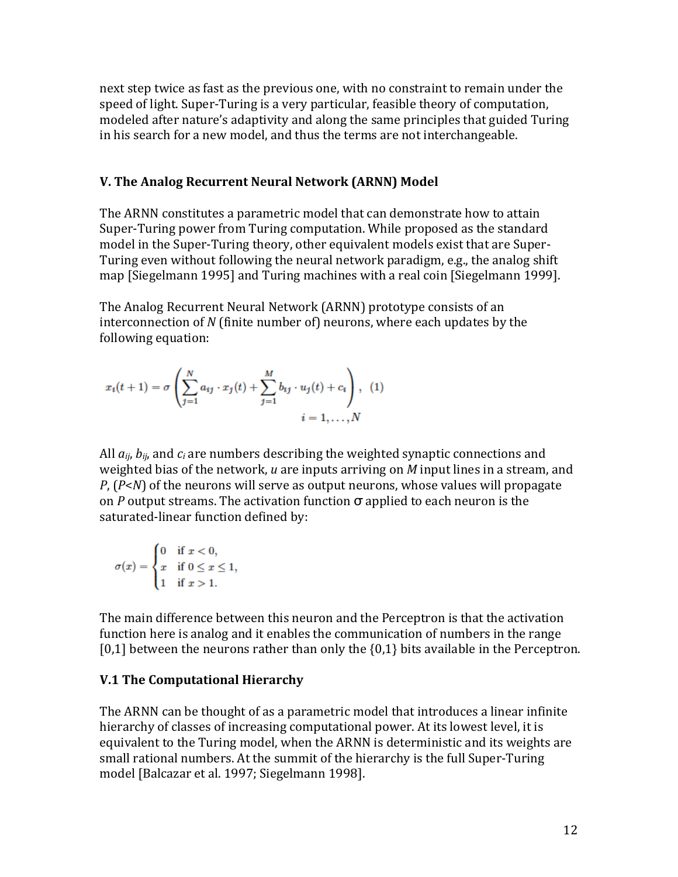next step twice as fast as the previous one, with no constraint to remain under the speed of light. Super-Turing is a very particular, feasible theory of computation, modeled after nature's adaptivity and along the same principles that guided Turing in his search for a new model, and thus the terms are not interchangeable.

#### **V. The Analog Recurrent Neural Network (ARNN) Model**

The ARNN constitutes a parametric model that can demonstrate how to attain Super-Turing power from Turing computation. While proposed as the standard model in the Super-Turing theory, other equivalent models exist that are Super-Turing even without following the neural network paradigm, e.g., the analog shift map [Siegelmann 1995] and Turing machines with a real coin [Siegelmann 1999].

The Analog Recurrent Neural Network (ARNN) prototype consists of an interconnection of N (finite number of) neurons, where each updates by the following equation:

$$
x_i(t+1) = \sigma \left( \sum_{j=1}^N a_{ij} \cdot x_j(t) + \sum_{j=1}^M b_{ij} \cdot u_j(t) + c_i \right), \quad (1)
$$
  
 
$$
i = 1, ..., N
$$

All  $a_{ij}$ ,  $b_{ij}$ , and  $c_i$  are numbers describing the weighted synaptic connections and weighted bias of the network, *u* are inputs arriving on *M* input lines in a stream, and *P*, (*P*<*N*) of the neurons will serve as output neurons, whose values will propagate on *P* output streams. The activation function  $\sigma$  applied to each neuron is the saturated-linear function defined by:

$$
\sigma(x) = \begin{cases} 0 & \text{if } x < 0, \\ x & \text{if } 0 \le x \le 1, \\ 1 & \text{if } x > 1. \end{cases}
$$

The main difference between this neuron and the Perceptron is that the activation function here is analog and it enables the communication of numbers in the range  $[0,1]$  between the neurons rather than only the  $\{0,1\}$  bits available in the Perceptron.

#### **V.1 The Computational Hierarchy**

The ARNN can be thought of as a parametric model that introduces a linear infinite hierarchy of classes of increasing computational power. At its lowest level, it is equivalent to the Turing model, when the ARNN is deterministic and its weights are small rational numbers. At the summit of the hierarchy is the full Super-Turing model [Balcazar et al. 1997; Siegelmann 1998].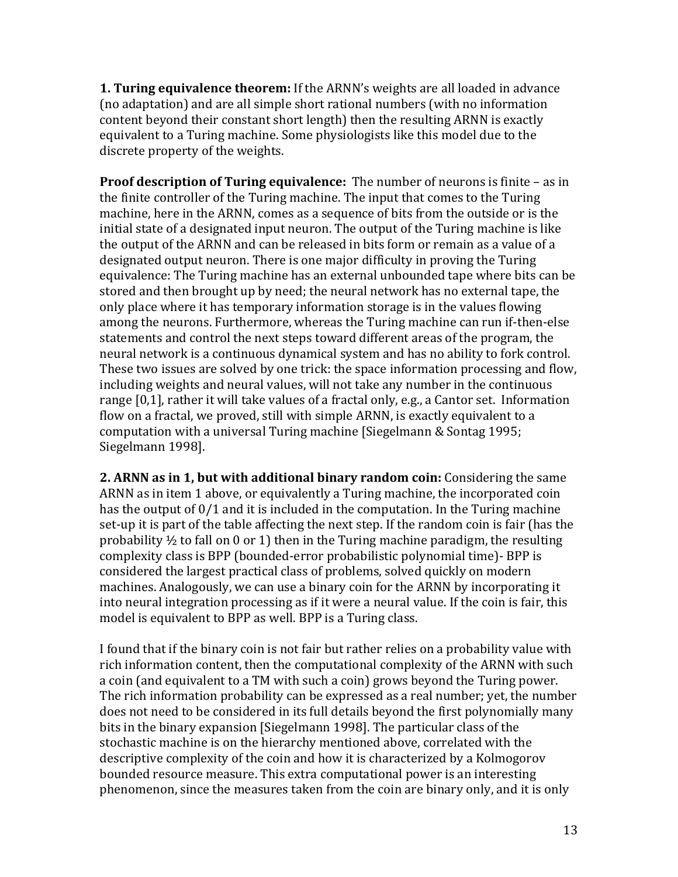**1. Turing equivalence theorem:** If the ARNN's weights are all loaded in advance (no adaptation) and are all simple short rational numbers (with no information content beyond their constant short length) then the resulting ARNN is exactly equivalent to a Turing machine. Some physiologists like this model due to the discrete property of the weights.

**Proof description of Turing equivalence:** The number of neurons is finite – as in the finite controller of the Turing machine. The input that comes to the Turing machine, here in the ARNN, comes as a sequence of bits from the outside or is the initial state of a designated input neuron. The output of the Turing machine is like the output of the ARNN and can be released in bits form or remain as a value of a designated output neuron. There is one major difficulty in proving the Turing equivalence: The Turing machine has an external unbounded tape where bits can be stored and then brought up by need; the neural network has no external tape, the only place where it has temporary information storage is in the values flowing among the neurons. Furthermore, whereas the Turing machine can run if-then-else statements and control the next steps toward different areas of the program, the neural network is a continuous dynamical system and has no ability to fork control. These two issues are solved by one trick: the space information processing and flow, including weights and neural values, will not take any number in the continuous range  $[0,1]$ , rather it will take values of a fractal only, e.g., a Cantor set. Information flow on a fractal, we proved, still with simple ARNN, is exactly equivalent to a computation with a universal Turing machine [Siegelmann & Sontag 1995; Siegelmann 1998].

**2. ARNN as in 1, but with additional binary random coin:** Considering the same ARNN as in item 1 above, or equivalently a Turing machine, the incorporated coin has the output of  $0/1$  and it is included in the computation. In the Turing machine set-up it is part of the table affecting the next step. If the random coin is fair (has the probability  $\frac{1}{2}$  to fall on 0 or 1) then in the Turing machine paradigm, the resulting complexity class is BPP (bounded-error probabilistic polynomial time)- BPP is considered the largest practical class of problems, solved quickly on modern machines. Analogously, we can use a binary coin for the ARNN by incorporating it into neural integration processing as if it were a neural value. If the coin is fair, this model is equivalent to BPP as well. BPP is a Turing class.

I found that if the binary coin is not fair but rather relies on a probability value with rich information content, then the computational complexity of the ARNN with such a coin (and equivalent to a TM with such a coin) grows beyond the Turing power. The rich information probability can be expressed as a real number; yet, the number does not need to be considered in its full details beyond the first polynomially many bits in the binary expansion [Siegelmann 1998]. The particular class of the stochastic machine is on the hierarchy mentioned above, correlated with the descriptive complexity of the coin and how it is characterized by a Kolmogorov bounded resource measure. This extra computational power is an interesting phenomenon, since the measures taken from the coin are binary only, and it is only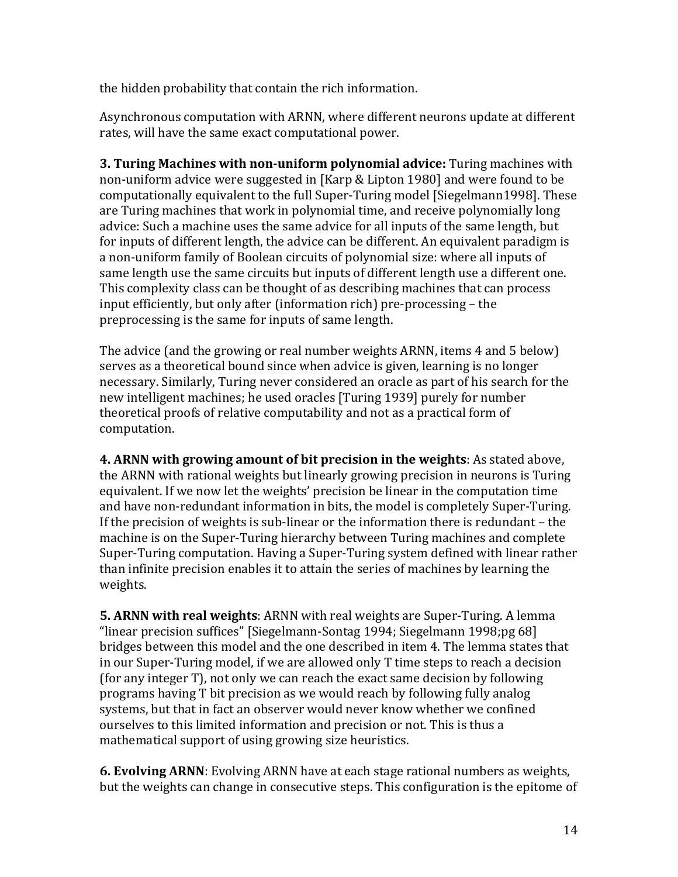the hidden probability that contain the rich information.

Asynchronous computation with ARNN, where different neurons update at different rates, will have the same exact computational power.

**3. Turing Machines with non-uniform polynomial advice:** Turing machines with non-uniform advice were suggested in [Karp & Lipton 1980] and were found to be computationally equivalent to the full Super-Turing model [Siegelmann1998]. These are Turing machines that work in polynomial time, and receive polynomially long advice: Such a machine uses the same advice for all inputs of the same length, but for inputs of different length, the advice can be different. An equivalent paradigm is a non-uniform family of Boolean circuits of polynomial size: where all inputs of same length use the same circuits but inputs of different length use a different one. This complexity class can be thought of as describing machines that can process input efficiently, but only after  $(information$  rich) pre-processing – the preprocessing is the same for inputs of same length.

The advice (and the growing or real number weights ARNN, items 4 and 5 below) serves as a theoretical bound since when advice is given, learning is no longer necessary. Similarly, Turing never considered an oracle as part of his search for the new intelligent machines; he used oracles [Turing 1939] purely for number theoretical proofs of relative computability and not as a practical form of computation. 

**4. ARNN with growing amount of bit precision in the weights**: As stated above, the ARNN with rational weights but linearly growing precision in neurons is Turing equivalent. If we now let the weights' precision be linear in the computation time and have non-redundant information in bits, the model is completely Super-Turing. If the precision of weights is sub-linear or the information there is redundant  $-$  the machine is on the Super-Turing hierarchy between Turing machines and complete Super-Turing computation. Having a Super-Turing system defined with linear rather than infinite precision enables it to attain the series of machines by learning the weights. 

**5. ARNN with real weights:** ARNN with real weights are Super-Turing. A lemma "linear precision suffices" [Siegelmann-Sontag 1994; Siegelmann 1998;pg 68] bridges between this model and the one described in item 4. The lemma states that in our Super-Turing model, if we are allowed only T time steps to reach a decision (for any integer T), not only we can reach the exact same decision by following programs having T bit precision as we would reach by following fully analog systems, but that in fact an observer would never know whether we confined ourselves to this limited information and precision or not. This is thus a mathematical support of using growing size heuristics.

**6. Evolving ARNN**: Evolving ARNN have at each stage rational numbers as weights, but the weights can change in consecutive steps. This configuration is the epitome of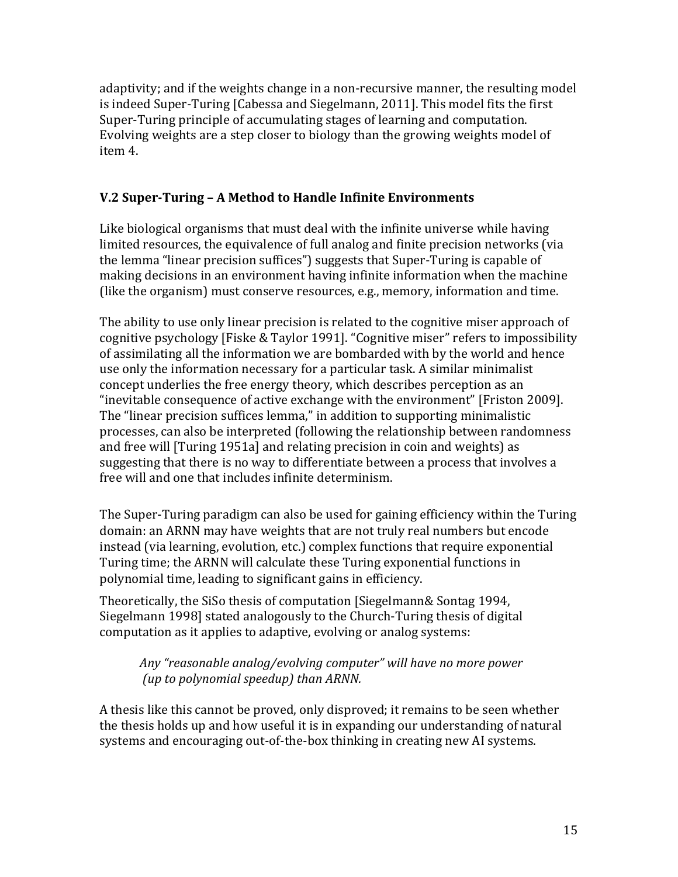adaptivity; and if the weights change in a non-recursive manner, the resulting model is indeed Super-Turing [Cabessa and Siegelmann, 2011]. This model fits the first Super-Turing principle of accumulating stages of learning and computation. Evolving weights are a step closer to biology than the growing weights model of item 4.

## **V.2 Super-Turing - A Method to Handle Infinite Environments**

Like biological organisms that must deal with the infinite universe while having limited resources, the equivalence of full analog and finite precision networks (via the lemma "linear precision suffices") suggests that Super-Turing is capable of making decisions in an environment having infinite information when the machine (like the organism) must conserve resources, e.g., memory, information and time.

The ability to use only linear precision is related to the cognitive miser approach of cognitive psychology [Fiske & Taylor 1991]. "Cognitive miser" refers to impossibility of assimilating all the information we are bombarded with by the world and hence use only the information necessary for a particular task. A similar minimalist concept underlies the free energy theory, which describes perception as an "inevitable consequence of active exchange with the environment" [Friston 2009]. The "linear precision suffices lemma," in addition to supporting minimalistic processes, can also be interpreted (following the relationship between randomness and free will [Turing 1951a] and relating precision in coin and weights) as suggesting that there is no way to differentiate between a process that involves a free will and one that includes infinite determinism.

The Super-Turing paradigm can also be used for gaining efficiency within the Turing domain: an ARNN may have weights that are not truly real numbers but encode instead (via learning, evolution, etc.) complex functions that require exponential Turing time; the ARNN will calculate these Turing exponential functions in polynomial time, leading to significant gains in efficiency.

Theoretically, the SiSo thesis of computation [Siegelmann& Sontag 1994, Siegelmann 1998] stated analogously to the Church-Turing thesis of digital computation as it applies to adaptive, evolving or analog systems:

Any "reasonable analog/evolving computer" will have no more power *(up to polynomial speedup)* than ARNN.

A thesis like this cannot be proved, only disproved; it remains to be seen whether the thesis holds up and how useful it is in expanding our understanding of natural systems and encouraging out-of-the-box thinking in creating new AI systems.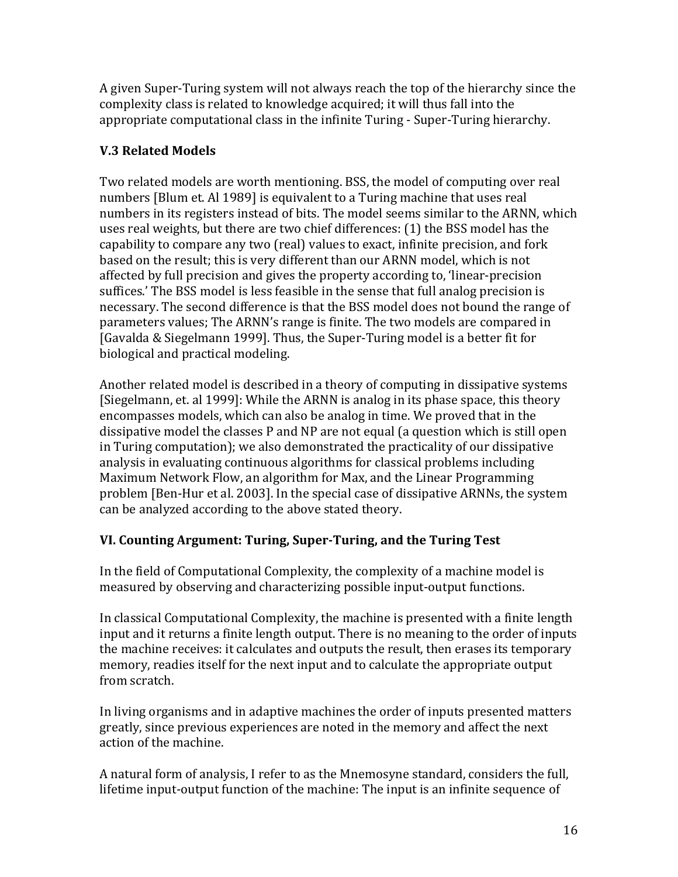A given Super-Turing system will not always reach the top of the hierarchy since the complexity class is related to knowledge acquired; it will thus fall into the appropriate computational class in the infinite Turing - Super-Turing hierarchy.

# **V.3 Related Models**

Two related models are worth mentioning. BSS, the model of computing over real numbers [Blum et. Al 1989] is equivalent to a Turing machine that uses real numbers in its registers instead of bits. The model seems similar to the ARNN, which uses real weights, but there are two chief differences: (1) the BSS model has the capability to compare any two (real) values to exact, infinite precision, and fork based on the result; this is very different than our ARNN model, which is not affected by full precision and gives the property according to, 'linear-precision suffices.' The BSS model is less feasible in the sense that full analog precision is necessary. The second difference is that the BSS model does not bound the range of parameters values; The ARNN's range is finite. The two models are compared in [Gavalda & Siegelmann 1999]. Thus, the Super-Turing model is a better fit for biological and practical modeling.

Another related model is described in a theory of computing in dissipative systems [Siegelmann, et. al 1999]: While the ARNN is analog in its phase space, this theory encompasses models, which can also be analog in time. We proved that in the dissipative model the classes P and NP are not equal (a question which is still open in Turing computation); we also demonstrated the practicality of our dissipative analysis in evaluating continuous algorithms for classical problems including Maximum Network Flow, an algorithm for Max, and the Linear Programming problem [Ben-Hur et al. 2003]. In the special case of dissipative ARNNs, the system can be analyzed according to the above stated theory.

# **VI. Counting Argument: Turing, Super-Turing, and the Turing Test**

In the field of Computational Complexity, the complexity of a machine model is measured by observing and characterizing possible input-output functions.

In classical Computational Complexity, the machine is presented with a finite length input and it returns a finite length output. There is no meaning to the order of inputs the machine receives: it calculates and outputs the result, then erases its temporary memory, readies itself for the next input and to calculate the appropriate output from scratch.

In living organisms and in adaptive machines the order of inputs presented matters greatly, since previous experiences are noted in the memory and affect the next action of the machine.

A natural form of analysis, I refer to as the Mnemosyne standard, considers the full, lifetime input-output function of the machine: The input is an infinite sequence of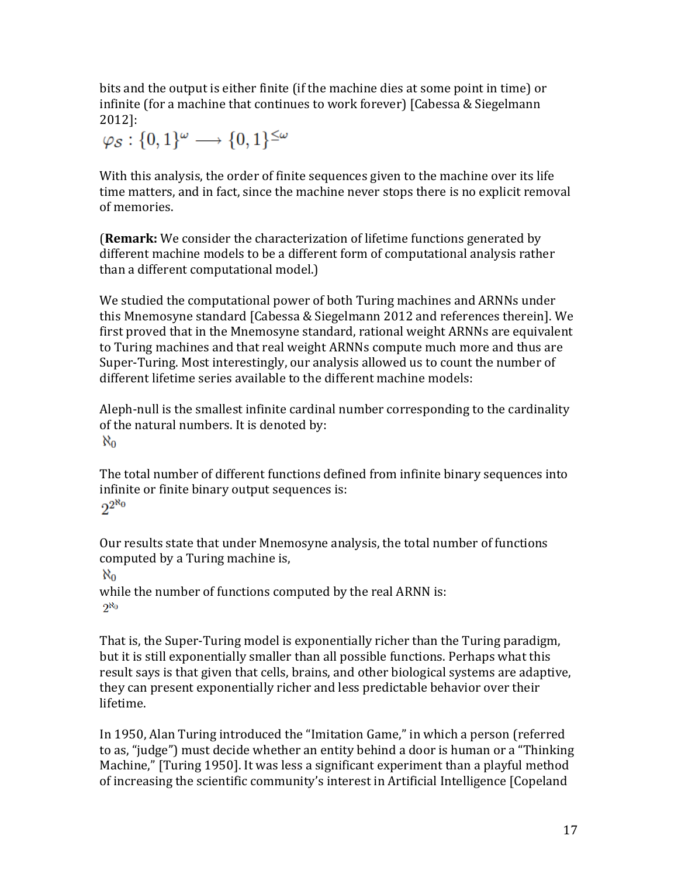bits and the output is either finite (if the machine dies at some point in time) or infinite (for a machine that continues to work forever) [Cabessa & Siegelmann 2012]:

 $\varphi_{\mathcal{S}}: \{0,1\}^{\omega} \longrightarrow \{0,1\}^{\leq \omega}$ 

With this analysis, the order of finite sequences given to the machine over its life time matters, and in fact, since the machine never stops there is no explicit removal of memories.

**(Remark:** We consider the characterization of lifetime functions generated by different machine models to be a different form of computational analysis rather than a different computational model.)

We studied the computational power of both Turing machines and ARNNs under this Mnemosyne standard [Cabessa & Siegelmann 2012 and references therein]. We first proved that in the Mnemosyne standard, rational weight ARNNs are equivalent to Turing machines and that real weight ARNNs compute much more and thus are Super-Turing. Most interestingly, our analysis allowed us to count the number of different lifetime series available to the different machine models:

Aleph-null is the smallest infinite cardinal number corresponding to the cardinality of the natural numbers. It is denoted by:  $\aleph_0$ 

The total number of different functions defined from infinite binary sequences into infinite or finite binary output sequences is:  $2^{80}$ 

Our results state that under Mnemosyne analysis, the total number of functions computed by a Turing machine is,

 $\aleph_0$ 

while the number of functions computed by the real ARNN is:  $2^{\aleph_0}$ 

That is, the Super-Turing model is exponentially richer than the Turing paradigm, but it is still exponentially smaller than all possible functions. Perhaps what this result says is that given that cells, brains, and other biological systems are adaptive, they can present exponentially richer and less predictable behavior over their lifetime. 

In 1950, Alan Turing introduced the "Imitation Game," in which a person (referred to as, "judge") must decide whether an entity behind a door is human or a "Thinking Machine," [Turing 1950]. It was less a significant experiment than a playful method of increasing the scientific community's interest in Artificial Intelligence [Copeland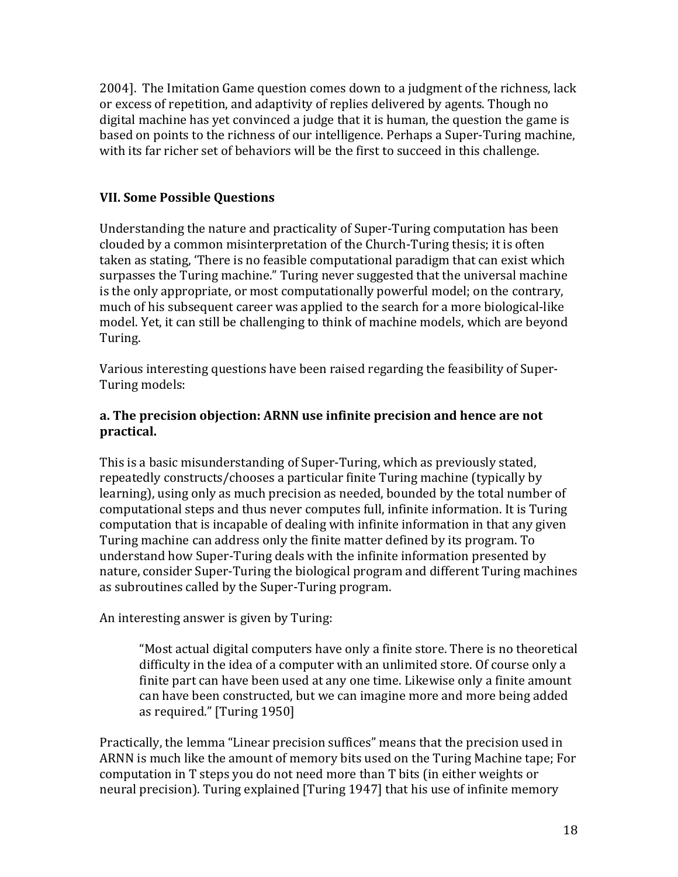2004]. The Imitation Game question comes down to a judgment of the richness, lack or excess of repetition, and adaptivity of replies delivered by agents. Though no digital machine has yet convinced a judge that it is human, the question the game is based on points to the richness of our intelligence. Perhaps a Super-Turing machine, with its far richer set of behaviors will be the first to succeed in this challenge.

## **VII. Some Possible Questions**

Understanding the nature and practicality of Super-Turing computation has been clouded by a common misinterpretation of the Church-Turing thesis; it is often taken as stating, 'There is no feasible computational paradigm that can exist which surpasses the Turing machine." Turing never suggested that the universal machine is the only appropriate, or most computationally powerful model; on the contrary, much of his subsequent career was applied to the search for a more biological-like model. Yet, it can still be challenging to think of machine models, which are beyond Turing.

Various interesting questions have been raised regarding the feasibility of Super-Turing models:

## **a.** The precision objection: ARNN use infinite precision and hence are not **practical.**

This is a basic misunderstanding of Super-Turing, which as previously stated, repeatedly constructs/chooses a particular finite Turing machine (typically by learning), using only as much precision as needed, bounded by the total number of computational steps and thus never computes full, infinite information. It is Turing computation that is incapable of dealing with infinite information in that any given Turing machine can address only the finite matter defined by its program. To understand how Super-Turing deals with the infinite information presented by nature, consider Super-Turing the biological program and different Turing machines as subroutines called by the Super-Turing program.

An interesting answer is given by Turing:

"Most actual digital computers have only a finite store. There is no theoretical difficulty in the idea of a computer with an unlimited store. Of course only a finite part can have been used at any one time. Likewise only a finite amount can have been constructed, but we can imagine more and more being added as required." [Turing 1950]

Practically, the lemma "Linear precision suffices" means that the precision used in ARNN is much like the amount of memory bits used on the Turing Machine tape; For computation in T steps you do not need more than T bits (in either weights or neural precision). Turing explained [Turing 1947] that his use of infinite memory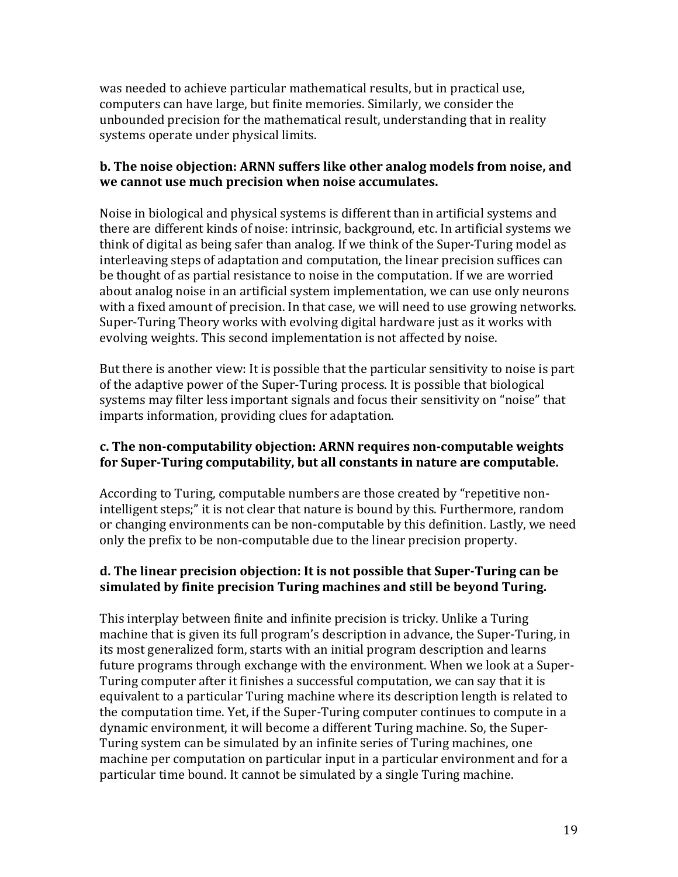was needed to achieve particular mathematical results, but in practical use, computers can have large, but finite memories. Similarly, we consider the unbounded precision for the mathematical result, understanding that in reality systems operate under physical limits.

#### **b.** The noise objection: ARNN suffers like other analog models from noise, and we cannot use much precision when noise accumulates.

Noise in biological and physical systems is different than in artificial systems and there are different kinds of noise: intrinsic, background, etc. In artificial systems we think of digital as being safer than analog. If we think of the Super-Turing model as interleaving steps of adaptation and computation, the linear precision suffices can be thought of as partial resistance to noise in the computation. If we are worried about analog noise in an artificial system implementation, we can use only neurons with a fixed amount of precision. In that case, we will need to use growing networks. Super-Turing Theory works with evolving digital hardware just as it works with evolving weights. This second implementation is not affected by noise.

But there is another view: It is possible that the particular sensitivity to noise is part of the adaptive power of the Super-Turing process. It is possible that biological systems may filter less important signals and focus their sensitivity on "noise" that imparts information, providing clues for adaptation.

## c. The non-computability objection: ARNN requires non-computable weights for Super-Turing computability, but all constants in nature are computable.

According to Turing, computable numbers are those created by "repetitive nonintelligent steps;" it is not clear that nature is bound by this. Furthermore, random or changing environments can be non-computable by this definition. Lastly, we need only the prefix to be non-computable due to the linear precision property.

## d. The linear precision objection: It is not possible that Super-Turing can be simulated by finite precision Turing machines and still be beyond Turing.

This interplay between finite and infinite precision is tricky. Unlike a Turing machine that is given its full program's description in advance, the Super-Turing, in its most generalized form, starts with an initial program description and learns future programs through exchange with the environment. When we look at a Super-Turing computer after it finishes a successful computation, we can say that it is equivalent to a particular Turing machine where its description length is related to the computation time. Yet, if the Super-Turing computer continues to compute in a dynamic environment, it will become a different Turing machine. So, the Super-Turing system can be simulated by an infinite series of Turing machines, one machine per computation on particular input in a particular environment and for a particular time bound. It cannot be simulated by a single Turing machine.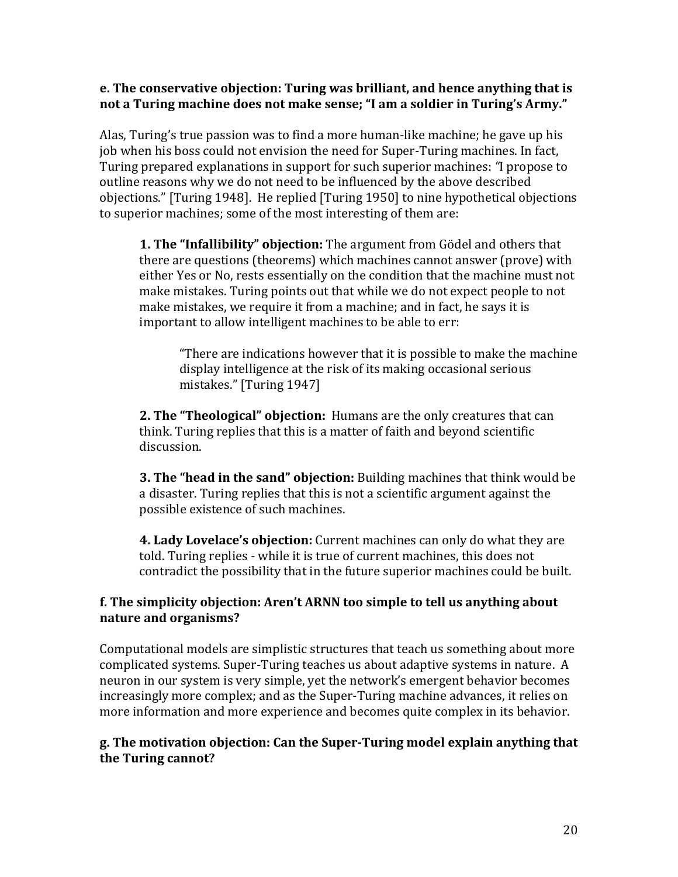## **e.** The conservative objection: Turing was brilliant, and hence anything that is not a Turing machine does not make sense; "I am a soldier in Turing's Army."

Alas, Turing's true passion was to find a more human-like machine; he gave up his job when his boss could not envision the need for Super-Turing machines. In fact, Turing prepared explanations in support for such superior machines: *"I* propose to outline reasons why we do not need to be influenced by the above described objections." [Turing 1948]. He replied [Turing 1950] to nine hypothetical objections to superior machines; some of the most interesting of them are:

**1. The "Infallibility" objection:** The argument from Gödel and others that there are questions (theorems) which machines cannot answer (prove) with either Yes or No, rests essentially on the condition that the machine must not make mistakes. Turing points out that while we do not expect people to not make mistakes, we require it from a machine; and in fact, he says it is important to allow intelligent machines to be able to err:

"There are indications however that it is possible to make the machine display intelligence at the risk of its making occasional serious mistakes." [Turing 1947]

**2. The "Theological" objection:** Humans are the only creatures that can think. Turing replies that this is a matter of faith and beyond scientific discussion.

**3. The "head in the sand" objection:** Building machines that think would be a disaster. Turing replies that this is not a scientific argument against the possible existence of such machines.

**4. Lady Lovelace's objection:** Current machines can only do what they are told. Turing replies - while it is true of current machines, this does not contradict the possibility that in the future superior machines could be built.

## **f.** The simplicity objection: Aren't ARNN too simple to tell us anything about **nature and organisms?**

Computational models are simplistic structures that teach us something about more complicated systems. Super-Turing teaches us about adaptive systems in nature. A neuron in our system is very simple, yet the network's emergent behavior becomes increasingly more complex; and as the Super-Turing machine advances, it relies on more information and more experience and becomes quite complex in its behavior.

## g. The motivation objection: Can the Super-Turing model explain anything that **the Turing cannot?**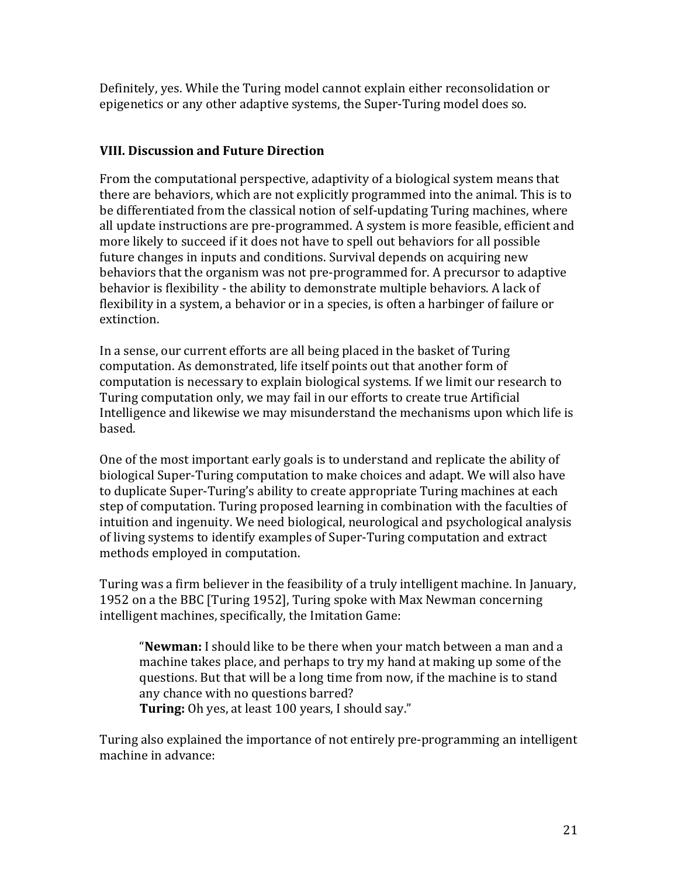Definitely, yes. While the Turing model cannot explain either reconsolidation or epigenetics or any other adaptive systems, the Super-Turing model does so.

## **VIII. Discussion and Future Direction**

From the computational perspective, adaptivity of a biological system means that there are behaviors, which are not explicitly programmed into the animal. This is to be differentiated from the classical notion of self-updating Turing machines, where all update instructions are pre-programmed. A system is more feasible, efficient and more likely to succeed if it does not have to spell out behaviors for all possible future changes in inputs and conditions. Survival depends on acquiring new behaviors that the organism was not pre-programmed for. A precursor to adaptive behavior is flexibility - the ability to demonstrate multiple behaviors. A lack of flexibility in a system, a behavior or in a species, is often a harbinger of failure or extinction.

In a sense, our current efforts are all being placed in the basket of Turing computation. As demonstrated, life itself points out that another form of computation is necessary to explain biological systems. If we limit our research to Turing computation only, we may fail in our efforts to create true Artificial Intelligence and likewise we may misunderstand the mechanisms upon which life is based.

One of the most important early goals is to understand and replicate the ability of biological Super-Turing computation to make choices and adapt. We will also have to duplicate Super-Turing's ability to create appropriate Turing machines at each step of computation. Turing proposed learning in combination with the faculties of intuition and ingenuity. We need biological, neurological and psychological analysis of living systems to identify examples of Super-Turing computation and extract methods employed in computation.

Turing was a firm believer in the feasibility of a truly intelligent machine. In January, 1952 on a the BBC [Turing 1952], Turing spoke with Max Newman concerning intelligent machines, specifically, the Imitation Game:

"Newman: I should like to be there when your match between a man and a machine takes place, and perhaps to try my hand at making up some of the questions. But that will be a long time from now, if the machine is to stand any chance with no questions barred?

**Turing:** Oh yes, at least 100 years, I should say."

Turing also explained the importance of not entirely pre-programming an intelligent machine in advance: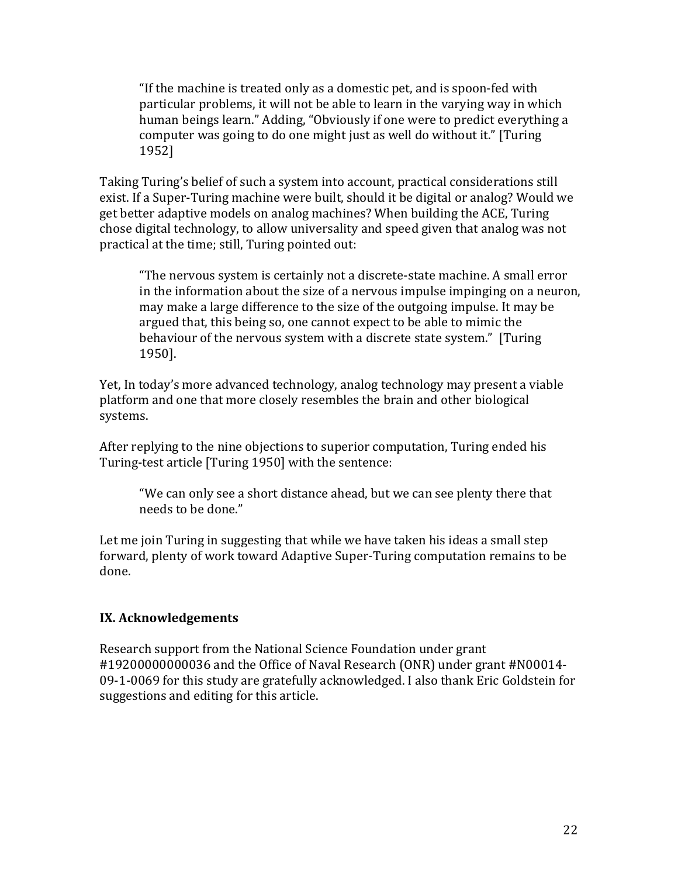"If the machine is treated only as a domestic pet, and is spoon-fed with particular problems, it will not be able to learn in the varying way in which human beings learn." Adding, "Obviously if one were to predict everything a computer was going to do one might just as well do without it." [Turing] 1952]

Taking Turing's belief of such a system into account, practical considerations still exist. If a Super-Turing machine were built, should it be digital or analog? Would we get better adaptive models on analog machines? When building the ACE, Turing chose digital technology, to allow universality and speed given that analog was not practical at the time; still, Turing pointed out:

"The nervous system is certainly not a discrete-state machine. A small error in the information about the size of a nervous impulse impinging on a neuron, may make a large difference to the size of the outgoing impulse. It may be argued that, this being so, one cannot expect to be able to mimic the behaviour of the nervous system with a discrete state system." [Turing] 1950]. 

Yet, In today's more advanced technology, analog technology may present a viable platform and one that more closely resembles the brain and other biological systems.

After replying to the nine objections to superior computation, Turing ended his Turing-test article [Turing 1950] with the sentence:

"We can only see a short distance ahead, but we can see plenty there that needs to be done."

Let me join Turing in suggesting that while we have taken his ideas a small step forward, plenty of work toward Adaptive Super-Turing computation remains to be done.

#### **IX. Acknowledgements**

Research support from the National Science Foundation under grant #192000000000036 and the Office of Naval Research (ONR) under grant #N00014-09-1-0069 for this study are gratefully acknowledged. I also thank Eric Goldstein for suggestions and editing for this article.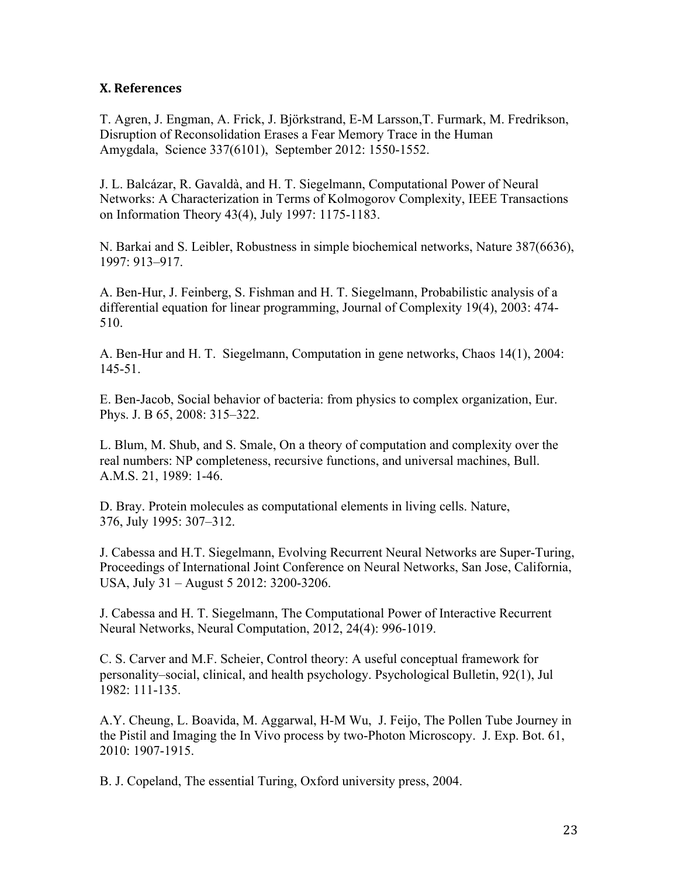#### **X. References**

T. Agren, J. Engman, A. Frick, J. Björkstrand, E-M Larsson,T. Furmark, M. Fredrikson, Disruption of Reconsolidation Erases a Fear Memory Trace in the Human Amygdala, Science 337(6101), September 2012: 1550-1552.

J. L. Balcázar, R. Gavaldà, and H. T. Siegelmann, Computational Power of Neural Networks: A Characterization in Terms of Kolmogorov Complexity, IEEE Transactions on Information Theory 43(4), July 1997: 1175-1183.

N. Barkai and S. Leibler, Robustness in simple biochemical networks, Nature 387(6636), 1997: 913–917.

A. Ben-Hur, J. Feinberg, S. Fishman and H. T. Siegelmann, Probabilistic analysis of a differential equation for linear programming, Journal of Complexity 19(4), 2003: 474- 510.

A. Ben-Hur and H. T. Siegelmann, Computation in gene networks, Chaos 14(1), 2004: 145-51.

E. Ben-Jacob, Social behavior of bacteria: from physics to complex organization, Eur. Phys. J. B 65, 2008: 315–322.

L. Blum, M. Shub, and S. Smale, On a theory of computation and complexity over the real numbers: NP completeness, recursive functions, and universal machines, Bull. A.M.S. 21, 1989: 1-46.

D. Bray. Protein molecules as computational elements in living cells. Nature, 376, July 1995: 307–312.

J. Cabessa and H.T. Siegelmann, Evolving Recurrent Neural Networks are Super-Turing, Proceedings of International Joint Conference on Neural Networks, San Jose, California, USA, July 31 – August 5 2012: 3200-3206.

J. Cabessa and H. T. Siegelmann, The Computational Power of Interactive Recurrent Neural Networks, Neural Computation, 2012, 24(4): 996-1019.

C. S. Carver and M.F. Scheier, Control theory: A useful conceptual framework for personality–social, clinical, and health psychology. Psychological Bulletin, 92(1), Jul 1982: 111-135.

A.Y. Cheung, L. Boavida, M. Aggarwal, H-M Wu, J. Feijo, The Pollen Tube Journey in the Pistil and Imaging the In Vivo process by two-Photon Microscopy. J. Exp. Bot. 61, 2010: 1907-1915.

B. J. Copeland, The essential Turing, Oxford university press, 2004.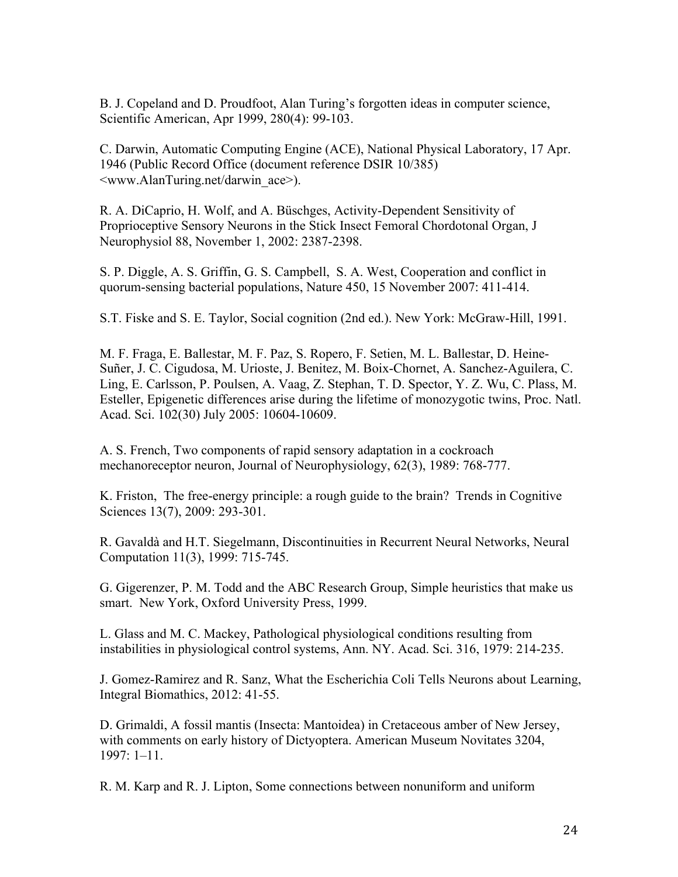B. J. Copeland and D. Proudfoot, Alan Turing's forgotten ideas in computer science, Scientific American, Apr 1999, 280(4): 99-103.

C. Darwin, Automatic Computing Engine (ACE), National Physical Laboratory, 17 Apr. 1946 (Public Record Office (document reference DSIR 10/385) <www.AlanTuring.net/darwin\_ace>).

R. A. DiCaprio, H. Wolf, and A. Büschges, Activity-Dependent Sensitivity of Proprioceptive Sensory Neurons in the Stick Insect Femoral Chordotonal Organ, J Neurophysiol 88, November 1, 2002: 2387-2398.

S. P. Diggle, A. S. Griffin, G. S. Campbell, S. A. West, Cooperation and conflict in quorum-sensing bacterial populations, Nature 450, 15 November 2007: 411-414.

S.T. Fiske and S. E. Taylor, Social cognition (2nd ed.). New York: McGraw-Hill, 1991.

M. F. Fraga, E. Ballestar, M. F. Paz, S. Ropero, F. Setien, M. L. Ballestar, D. Heine-Suñer, J. C. Cigudosa, M. Urioste, J. Benitez, M. Boix-Chornet, A. Sanchez-Aguilera, C. Ling, E. Carlsson, P. Poulsen, A. Vaag, Z. Stephan, T. D. Spector, Y. Z. Wu, C. Plass, M. Esteller, Epigenetic differences arise during the lifetime of monozygotic twins, Proc. Natl. Acad. Sci. 102(30) July 2005: 10604-10609.

A. S. French, Two components of rapid sensory adaptation in a cockroach mechanoreceptor neuron, Journal of Neurophysiology, 62(3), 1989: 768-777.

K. Friston, The free-energy principle: a rough guide to the brain? Trends in Cognitive Sciences 13(7), 2009: 293-301.

R. Gavaldà and H.T. Siegelmann, Discontinuities in Recurrent Neural Networks, Neural Computation 11(3), 1999: 715-745.

G. Gigerenzer, P. M. Todd and the ABC Research Group, Simple heuristics that make us smart. New York, Oxford University Press, 1999.

L. Glass and M. C. Mackey, Pathological physiological conditions resulting from instabilities in physiological control systems, Ann. NY. Acad. Sci. 316, 1979: 214-235.

J. Gomez-Ramirez and R. Sanz, What the Escherichia Coli Tells Neurons about Learning, Integral Biomathics, 2012: 41-55.

D. Grimaldi, A fossil mantis (Insecta: Mantoidea) in Cretaceous amber of New Jersey, with comments on early history of Dictyoptera. American Museum Novitates 3204, 1997: 1–11.

R. M. Karp and R. J. Lipton, Some connections between nonuniform and uniform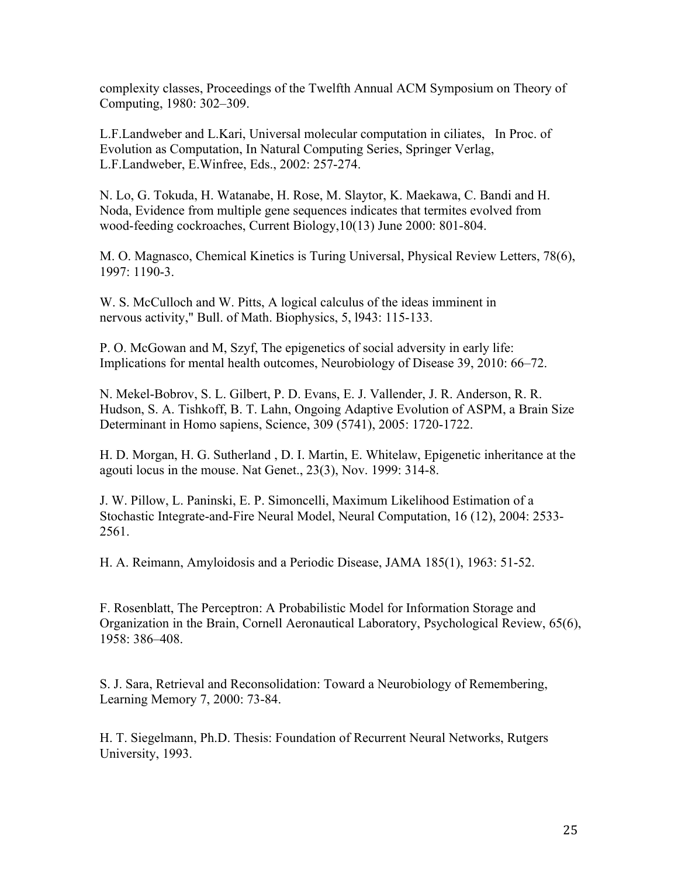complexity classes, Proceedings of the Twelfth Annual ACM Symposium on Theory of Computing, 1980: 302–309.

L.F.Landweber and L.Kari, Universal molecular computation in ciliates, In Proc. of Evolution as Computation, In Natural Computing Series, Springer Verlag, L.F.Landweber, E.Winfree, Eds., 2002: 257-274.

N. Lo, G. Tokuda, H. Watanabe, H. Rose, M. Slaytor, K. Maekawa, C. Bandi and H. Noda, Evidence from multiple gene sequences indicates that termites evolved from wood-feeding cockroaches, Current Biology,10(13) June 2000: 801-804.

M. O. Magnasco, Chemical Kinetics is Turing Universal, Physical Review Letters, 78(6), 1997: 1190-3.

W. S. McCulloch and W. Pitts, A logical calculus of the ideas imminent in nervous activity," Bull. of Math. Biophysics, 5, l943: 115-133.

P. O. McGowan and M, Szyf, The epigenetics of social adversity in early life: Implications for mental health outcomes, Neurobiology of Disease 39, 2010: 66–72.

N. Mekel-Bobrov, S. L. Gilbert, P. D. Evans, E. J. Vallender, J. R. Anderson, R. R. Hudson, S. A. Tishkoff, B. T. Lahn, Ongoing Adaptive Evolution of ASPM, a Brain Size Determinant in Homo sapiens, Science, 309 (5741), 2005: 1720-1722.

H. D. Morgan, H. G. Sutherland , D. I. Martin, E. Whitelaw, Epigenetic inheritance at the agouti locus in the mouse. Nat Genet., 23(3), Nov. 1999: 314-8.

J. W. Pillow, L. Paninski, E. P. Simoncelli, Maximum Likelihood Estimation of a Stochastic Integrate-and-Fire Neural Model, Neural Computation, 16 (12), 2004: 2533- 2561.

H. A. Reimann, Amyloidosis and a Periodic Disease, JAMA 185(1), 1963: 51-52.

F. Rosenblatt, The Perceptron: A Probabilistic Model for Information Storage and Organization in the Brain, Cornell Aeronautical Laboratory, Psychological Review, 65(6), 1958: 386–408.

S. J. Sara, Retrieval and Reconsolidation: Toward a Neurobiology of Remembering, Learning Memory 7, 2000: 73-84.

H. T. Siegelmann, Ph.D. Thesis: Foundation of Recurrent Neural Networks, Rutgers University, 1993.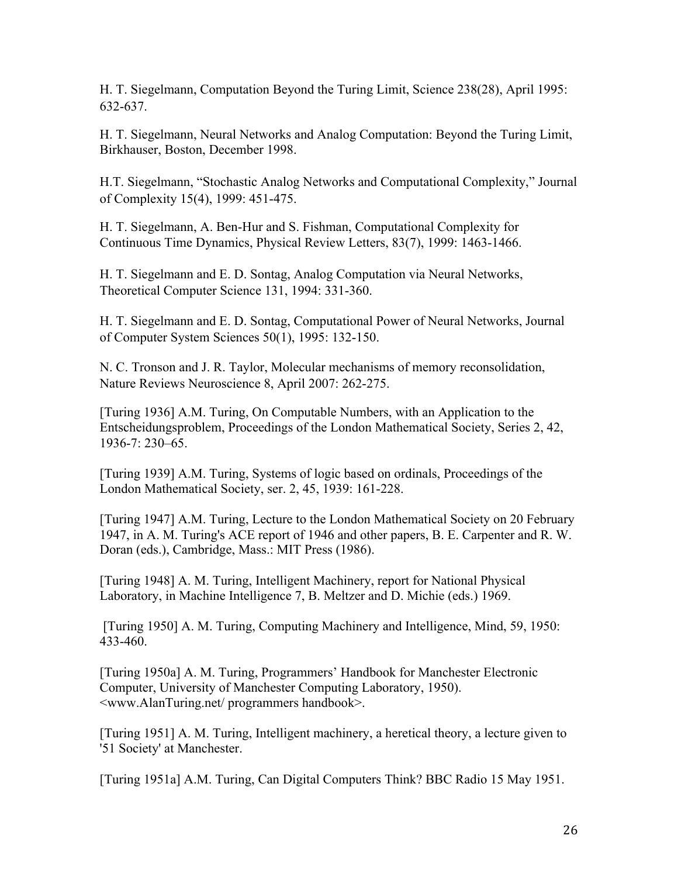H. T. Siegelmann, Computation Beyond the Turing Limit, Science 238(28), April 1995: 632-637.

H. T. Siegelmann, Neural Networks and Analog Computation: Beyond the Turing Limit, Birkhauser, Boston, December 1998.

H.T. Siegelmann, "Stochastic Analog Networks and Computational Complexity," Journal of Complexity 15(4), 1999: 451-475.

H. T. Siegelmann, A. Ben-Hur and S. Fishman, Computational Complexity for Continuous Time Dynamics, Physical Review Letters, 83(7), 1999: 1463-1466.

H. T. Siegelmann and E. D. Sontag, Analog Computation via Neural Networks, Theoretical Computer Science 131, 1994: 331-360.

H. T. Siegelmann and E. D. Sontag, Computational Power of Neural Networks, Journal of Computer System Sciences 50(1), 1995: 132-150.

N. C. Tronson and J. R. Taylor, Molecular mechanisms of memory reconsolidation, Nature Reviews Neuroscience 8, April 2007: 262-275.

[Turing 1936] A.M. Turing, On Computable Numbers, with an Application to the Entscheidungsproblem, Proceedings of the London Mathematical Society, Series 2, 42, 1936-7: 230–65.

[Turing 1939] A.M. Turing, Systems of logic based on ordinals, Proceedings of the London Mathematical Society, ser. 2, 45, 1939: 161-228.

[Turing 1947] A.M. Turing, Lecture to the London Mathematical Society on 20 February 1947, in A. M. Turing's ACE report of 1946 and other papers, B. E. Carpenter and R. W. Doran (eds.), Cambridge, Mass.: MIT Press (1986).

[Turing 1948] A. M. Turing, Intelligent Machinery, report for National Physical Laboratory, in Machine Intelligence 7, B. Meltzer and D. Michie (eds.) 1969.

[Turing 1950] A. M. Turing, Computing Machinery and Intelligence, Mind, 59, 1950: 433-460.

[Turing 1950a] A. M. Turing, Programmers' Handbook for Manchester Electronic Computer, University of Manchester Computing Laboratory, 1950). <www.AlanTuring.net/ programmers handbook>.

[Turing 1951] A. M. Turing, Intelligent machinery, a heretical theory, a lecture given to '51 Society' at Manchester.

[Turing 1951a] A.M. Turing, Can Digital Computers Think? BBC Radio 15 May 1951.